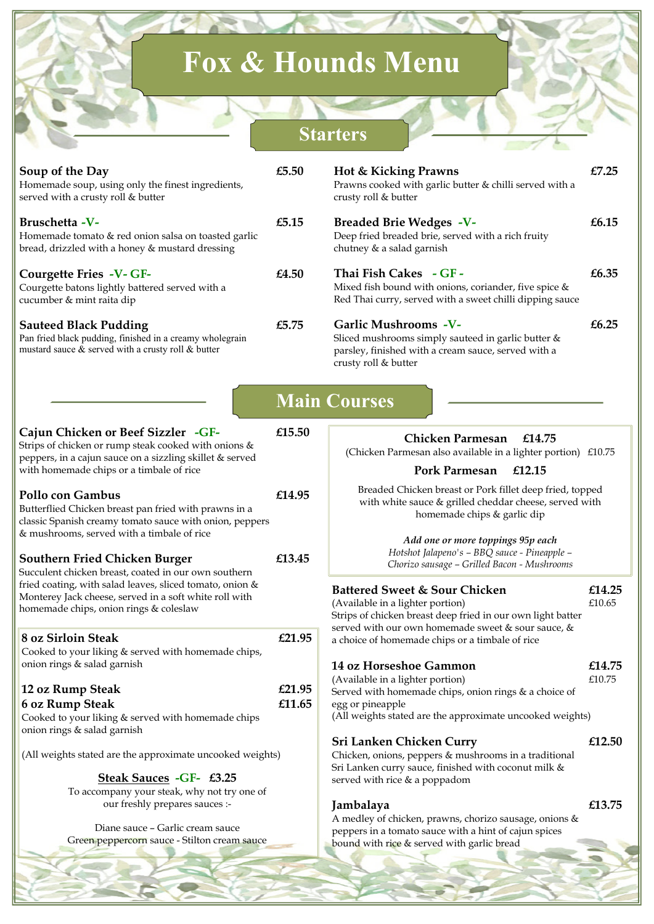## **Fox & Hounds Menu**

## **Starters**

| Soup of the Day<br>Homemade soup, using only the finest ingredients,<br>served with a crusty roll & butter                                                                                                                                                                                                                                                                                                                                         | £5.50            | <b>Hot &amp; Kicking Prawns</b><br>Prawns cooked with garlic butter & chilli served with a<br>crusty roll & butter                                                                                                                                                                    | £7.25            |
|----------------------------------------------------------------------------------------------------------------------------------------------------------------------------------------------------------------------------------------------------------------------------------------------------------------------------------------------------------------------------------------------------------------------------------------------------|------------------|---------------------------------------------------------------------------------------------------------------------------------------------------------------------------------------------------------------------------------------------------------------------------------------|------------------|
| Bruschetta -V-<br>Homemade tomato & red onion salsa on toasted garlic<br>bread, drizzled with a honey & mustard dressing                                                                                                                                                                                                                                                                                                                           | £5.15            | <b>Breaded Brie Wedges -V-</b><br>Deep fried breaded brie, served with a rich fruity<br>chutney & a salad garnish                                                                                                                                                                     | £6.15            |
| Courgette Fries -V-GF-<br>Courgette batons lightly battered served with a<br>cucumber & mint raita dip                                                                                                                                                                                                                                                                                                                                             | £4.50            | Thai Fish Cakes - GF -<br>Mixed fish bound with onions, coriander, five spice &<br>Red Thai curry, served with a sweet chilli dipping sauce                                                                                                                                           | £6.35            |
| <b>Sauteed Black Pudding</b><br>Pan fried black pudding, finished in a creamy wholegrain<br>mustard sauce & served with a crusty roll & butter                                                                                                                                                                                                                                                                                                     | £5.75            | Garlic Mushrooms -V-<br>Sliced mushrooms simply sauteed in garlic butter &<br>parsley, finished with a cream sauce, served with a<br>crusty roll & butter                                                                                                                             | £6.25            |
|                                                                                                                                                                                                                                                                                                                                                                                                                                                    |                  | <b>Main Courses</b>                                                                                                                                                                                                                                                                   |                  |
| Cajun Chicken or Beef Sizzler -GF-<br>Strips of chicken or rump steak cooked with onions &<br>peppers, in a cajun sauce on a sizzling skillet & served<br>with homemade chips or a timbale of rice                                                                                                                                                                                                                                                 | £15.50           | Chicken Parmesan<br>£14.75<br>(Chicken Parmesan also available in a lighter portion) £10.75<br>Pork Parmesan<br>£12.15                                                                                                                                                                |                  |
| Pollo con Gambus<br>Butterflied Chicken breast pan fried with prawns in a<br>classic Spanish creamy tomato sauce with onion, peppers<br>& mushrooms, served with a timbale of rice<br><b>Southern Fried Chicken Burger</b><br>Succulent chicken breast, coated in our own southern<br>fried coating, with salad leaves, sliced tomato, onion &<br>Monterey Jack cheese, served in a soft white roll with<br>homemade chips, onion rings & coleslaw | £14.95<br>£13.45 | Breaded Chicken breast or Pork fillet deep fried, topped<br>with white sauce & grilled cheddar cheese, served with<br>homemade chips & garlic dip<br>Add one or more toppings 95p each<br>Hotshot Jalapeno's - BBQ sauce - Pineapple -<br>Chorizo sausage - Grilled Bacon - Mushrooms |                  |
|                                                                                                                                                                                                                                                                                                                                                                                                                                                    |                  | <b>Battered Sweet &amp; Sour Chicken</b><br>(Available in a lighter portion)<br>Strips of chicken breast deep fried in our own light batter<br>served with our own homemade sweet & sour sauce, &                                                                                     | £14.25<br>£10.65 |
| 8 oz Sirloin Steak<br>Cooked to your liking & served with homemade chips,<br>onion rings & salad garnish                                                                                                                                                                                                                                                                                                                                           | £21.95           | a choice of homemade chips or a timbale of rice<br>14 oz Horseshoe Gammon<br>(Available in a lighter portion)                                                                                                                                                                         | £14.75<br>£10.75 |
| 12 oz Rump Steak<br>6 oz Rump Steak<br>Cooked to your liking & served with homemade chips<br>onion rings & salad garnish                                                                                                                                                                                                                                                                                                                           | £21.95<br>£11.65 | Served with homemade chips, onion rings & a choice of<br>egg or pineapple<br>(All weights stated are the approximate uncooked weights)                                                                                                                                                |                  |
| (All weights stated are the approximate uncooked weights)<br>Steak Sauces -GF- £3.25                                                                                                                                                                                                                                                                                                                                                               |                  | <b>Sri Lanken Chicken Curry</b><br>Chicken, onions, peppers & mushrooms in a traditional<br>Sri Lanken curry sauce, finished with coconut milk &<br>served with rice & a poppadom                                                                                                     | £12.50           |
| To accompany your steak, why not try one of<br>our freshly prepares sauces :-<br>Diane sauce - Garlic cream sauce<br>Green peppercorn sauce - Stilton cream sauce                                                                                                                                                                                                                                                                                  |                  | Jambalaya<br>A medley of chicken, prawns, chorizo sausage, onions &<br>peppers in a tomato sauce with a hint of cajun spices<br>bound with rice & served with garlic bread                                                                                                            | £13.75           |
|                                                                                                                                                                                                                                                                                                                                                                                                                                                    |                  |                                                                                                                                                                                                                                                                                       |                  |